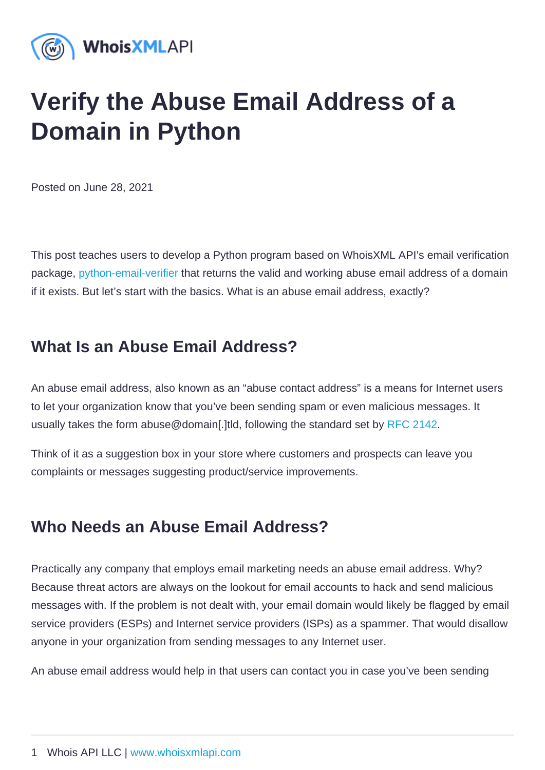## Verify the Abuse Email Address of a Domain in Python

Posted on June 28, 2021

This post teaches users to develop a Python program based on WhoisXML API's email verification package, [python-email-verifier](https://github.com/whois-api-llc/python-email-verifier) that returns the valid and working abuse email address of a domain if it exists. But let's start with the basics. What is an abuse email address, exactly?

## What Is an Abuse Email Address ?

An abuse email address, also known as an "abuse contact address" is a means for Internet users to let your organization know that you've been sending spam or even malicious messages. It usually takes the form abuse@domain[.]tld, following the standard set by [RFC 2142.](https://datatracker.ietf.org/doc/html/rfc2142)

Think of it as a suggestion box in your store where customers and prospects can leave you complaints or messages suggesting product/service improvements.

## Who Needs an Abuse Email Address ?

Practically any company that employs email marketing needs an abuse email address. Why? Because threat actors are always on the lookout for email accounts to hack and send malicious messages with. If the problem is not dealt with, your email domain would likely be flagged by email service providers (ESPs) and Internet service providers (ISPs) as a spammer. That would disallow anyone in your organization from sending messages to any Internet user.

An abuse email address would help in that users can contact you in case you've been sending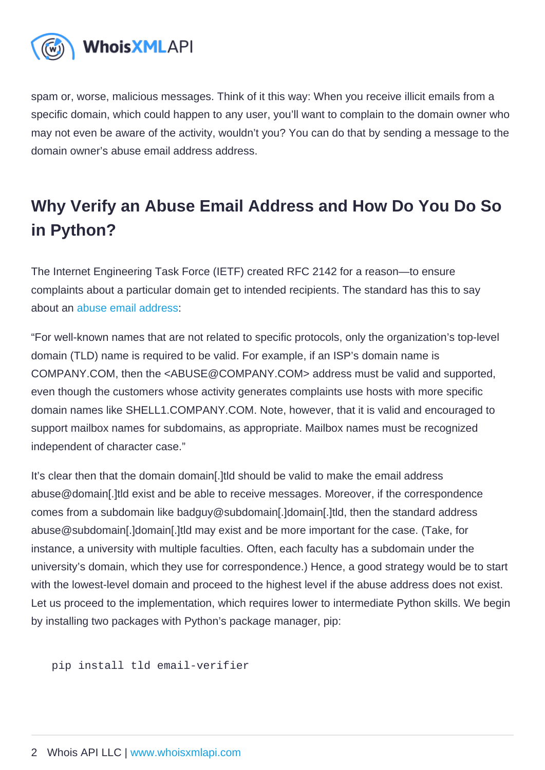spam or, worse, malicious messages. Think of it this way: When you receive illicit emails from a specific domain, which could happen to any user, you'll want to complain to the domain owner who may not even be aware of the activity, wouldn't you? You can do that by sending a message to the domain owner's abuse email address address.

## Why Verify an Abuse Email Address and How Do You Do So in Python?

The Internet Engineering Task Force (IETF) created RFC 2142 for a reason—to ensure complaints about a particular domain get to intended recipients. The standard has this to say about an [abuse email address:](https://datatracker.ietf.org/doc/html/rfc2142)

"For well-known names that are not related to specific protocols, only the organization's top-level domain (TLD) name is required to be valid. For example, if an ISP's domain name is COMPANY.COM, then the <ABUSE@COMPANY.COM> address must be valid and supported, even though the customers whose activity generates complaints use hosts with more specific domain names like SHELL1.COMPANY.COM. Note, however, that it is valid and encouraged to support mailbox names for subdomains, as appropriate. Mailbox names must be recognized independent of character case."

It's clear then that the domain domain[.]tld should be valid to make the email address abuse@domain[.]tld exist and be able to receive messages. Moreover, if the correspondence comes from a subdomain like badguy@subdomain[.]domain[.]tld, then the standard address abuse@subdomain[.]domain[.]tld may exist and be more important for the case. (Take, for instance, a university with multiple faculties. Often, each faculty has a subdomain under the university's domain, which they use for correspondence.) Hence, a good strategy would be to start with the lowest-level domain and proceed to the highest level if the abuse address does not exist. Let us proceed to the implementation, which requires lower to intermediate Python skills. We begin by installing two packages with Python's package manager, pip:

pip install tld email-verifier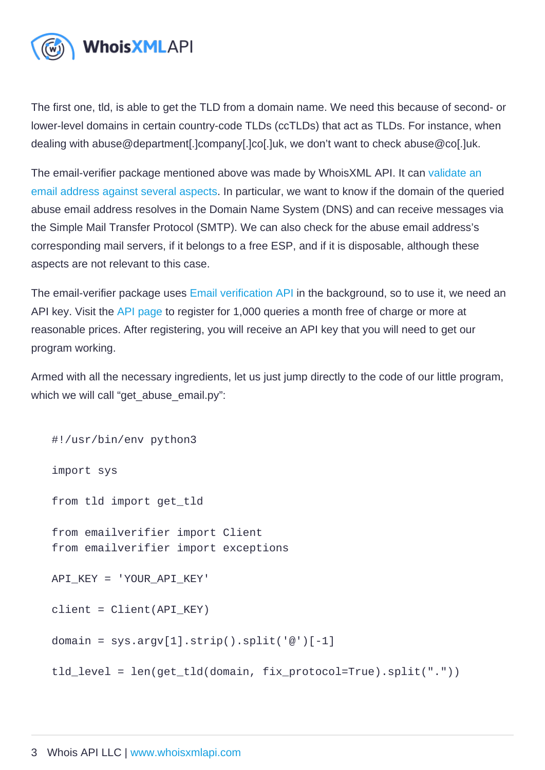The first one, tld, is able to get the TLD from a domain name. We need this because of second- or lower-level domains in certain country-code TLDs (ccTLDs) that act as TLDs. For instance, when dealing with abuse@department[.]company[.]co[.]uk, we don't want to check abuse@co[.]uk.

The email-verifier package mentioned above was made by WhoisXML API. It can validate an [email address against several aspects](https://emailverification.whoisxmlapi.com/blog/what-is-email-verification-or-validation-and-how-does-it-work). In particular, we want to know if the domain of the queried abuse email address resolves in the Domain Name System (DNS) and can receive messages via the Simple Mail Transfer Protocol (SMTP). We can also check for the abuse email address's corresponding mail servers, if it belongs to a free ESP, and if it is disposable, although these aspects are not relevant to this case.

The email-verifier package uses [Email verification API](https://emailverification.whoisxmlapi.com/) in the background, so to use it, we need an API key. Visit the [API page](https://emailverification.whoisxmlapi.com/api/pricing) to register for 1,000 queries a month free of charge or more at reasonable prices. After registering, you will receive an API key that you will need to get our program working.

Armed with all the necessary ingredients, let us just jump directly to the code of our little program, which we will call "get abuse email.py":

#!/usr/bin/env python3

import sys

from tld import get\_tld

from emailverifier import Client from emailverifier import exceptions

API\_KEY = 'YOUR\_API\_KEY'

client = Client(API\_KEY)

domain = sys.argv[1].strip().split( $\mathcal{Q}$ ')[-1]

tld\_level = len(get\_tld(domain, fix\_protocol=True).split("."))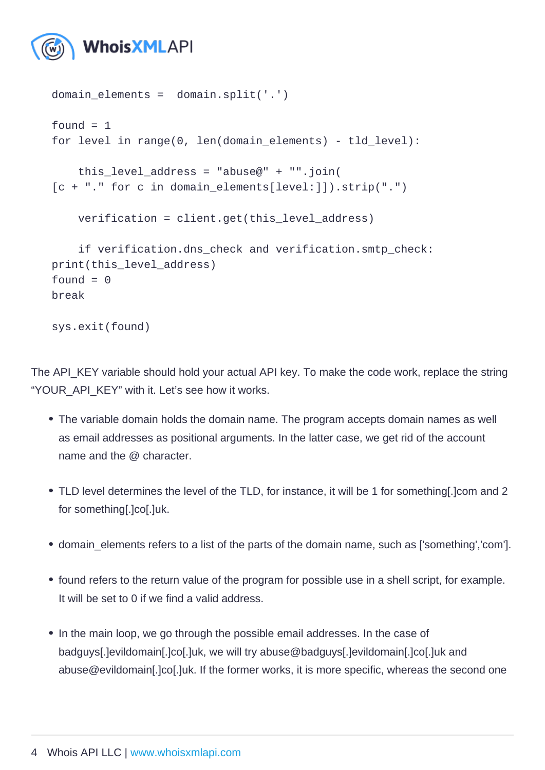```
domain_elements = domain.split('.')
found = 1for level in range(0, len(domain_elements) - tld_level):
  this_level_address = "abuse@" + "".join(
[c + "." for c in domain elements[level:]]).strip(".")
   verification = client.get(this_level_address)
   if verification.dns_check and verification.smtp_check:
print(this_level_address)
found = 0break
```
sys.exit(found)

The API\_KEY variable should hold your actual API key. To make the code work, replace the string "YOUR\_API\_KEY" with it. Let's see how it works.

- The variable domain holds the domain name. The program accepts domain names as well as email addresses as positional arguments. In the latter case, we get rid of the account name and the @ character.
- TLD level determines the level of the TLD, for instance, it will be 1 for something[.]com and 2 for something[.]co[.]uk.
- domain\_elements refers to a list of the parts of the domain name, such as ['something','com'].
- found refers to the return value of the program for possible use in a shell script, for example. It will be set to 0 if we find a valid address.
- In the main loop, we go through the possible email addresses. In the case of badguys[.]evildomain[.]co[.]uk, we will try abuse@badguys[.]evildomain[.]co[.]uk and abuse@evildomain[.]co[.]uk. If the former works, it is more specific, whereas the second one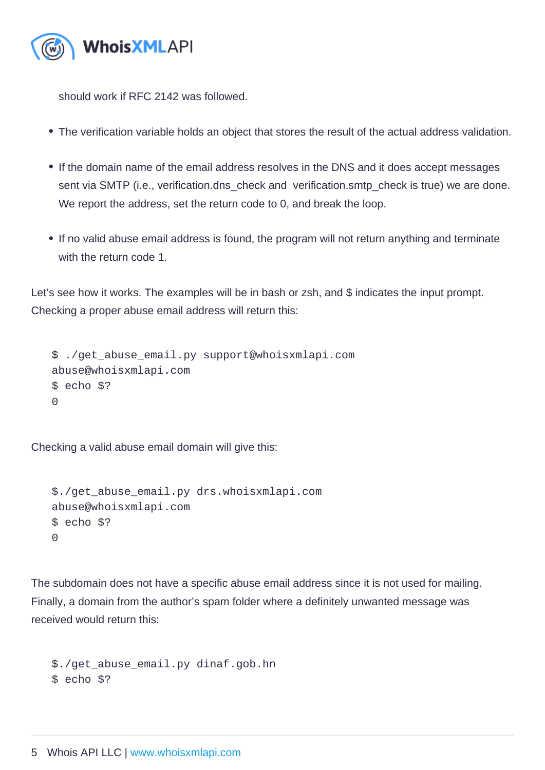should work if RFC 2142 was followed.

- The verification variable holds an object that stores the result of the actual address validation.
- If the domain name of the email address resolves in the DNS and it does accept messages sent via SMTP (i.e., verification.dns\_check and verification.smtp\_check is true) we are done. We report the address, set the return code to 0, and break the loop.
- If no valid abuse email address is found, the program will not return anything and terminate with the return code 1.

Let's see how it works. The examples will be in bash or zsh, and \$ indicates the input prompt. Checking a proper abuse email address will return this:

\$ ./get\_abuse\_email.py support@whoisxmlapi.com abuse@whoisxmlapi.com \$ echo \$?  $\Omega$ 

Checking a valid abuse email domain will give this:

```
$./get_abuse_email.py drs.whoisxmlapi.com
abuse@whoisxmlapi.com
$ echo $?
\Omega
```
The subdomain does not have a specific abuse email address since it is not used for mailing. Finally, a domain from the author's spam folder where a definitely unwanted message was received would return this:

\$./get\_abuse\_email.py dinaf.gob.hn \$ echo \$?